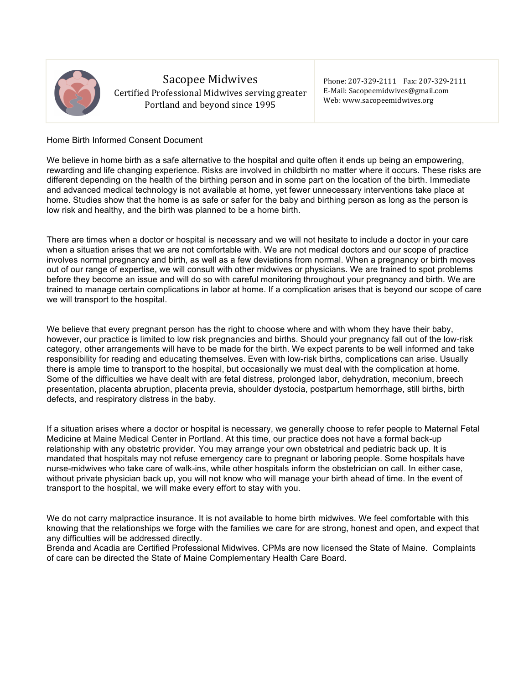

# Sacopee Midwives

Certified Professional Midwives serving greater Portland and beyond since 1995

Phone: 207-329-2111 Fax: 207-329-2111 E-Mail: Sacopeemidwives@gmail.com Web: www.sacopeemidwives.org

# Home Birth Informed Consent Document

We believe in home birth as a safe alternative to the hospital and quite often it ends up being an empowering, rewarding and life changing experience. Risks are involved in childbirth no matter where it occurs. These risks are different depending on the health of the birthing person and in some part on the location of the birth. Immediate and advanced medical technology is not available at home, yet fewer unnecessary interventions take place at home. Studies show that the home is as safe or safer for the baby and birthing person as long as the person is low risk and healthy, and the birth was planned to be a home birth.

There are times when a doctor or hospital is necessary and we will not hesitate to include a doctor in your care when a situation arises that we are not comfortable with. We are not medical doctors and our scope of practice involves normal pregnancy and birth, as well as a few deviations from normal. When a pregnancy or birth moves out of our range of expertise, we will consult with other midwives or physicians. We are trained to spot problems before they become an issue and will do so with careful monitoring throughout your pregnancy and birth. We are trained to manage certain complications in labor at home. If a complication arises that is beyond our scope of care we will transport to the hospital.

We believe that every pregnant person has the right to choose where and with whom they have their baby, however, our practice is limited to low risk pregnancies and births. Should your pregnancy fall out of the low-risk category, other arrangements will have to be made for the birth. We expect parents to be well informed and take responsibility for reading and educating themselves. Even with low-risk births, complications can arise. Usually there is ample time to transport to the hospital, but occasionally we must deal with the complication at home. Some of the difficulties we have dealt with are fetal distress, prolonged labor, dehydration, meconium, breech presentation, placenta abruption, placenta previa, shoulder dystocia, postpartum hemorrhage, still births, birth defects, and respiratory distress in the baby.

If a situation arises where a doctor or hospital is necessary, we generally choose to refer people to Maternal Fetal Medicine at Maine Medical Center in Portland. At this time, our practice does not have a formal back-up relationship with any obstetric provider. You may arrange your own obstetrical and pediatric back up. It is mandated that hospitals may not refuse emergency care to pregnant or laboring people. Some hospitals have nurse-midwives who take care of walk-ins, while other hospitals inform the obstetrician on call. In either case, without private physician back up, you will not know who will manage your birth ahead of time. In the event of transport to the hospital, we will make every effort to stay with you.

We do not carry malpractice insurance. It is not available to home birth midwives. We feel comfortable with this knowing that the relationships we forge with the families we care for are strong, honest and open, and expect that any difficulties will be addressed directly.

Brenda and Acadia are Certified Professional Midwives. CPMs are now licensed the State of Maine. Complaints of care can be directed the State of Maine Complementary Health Care Board.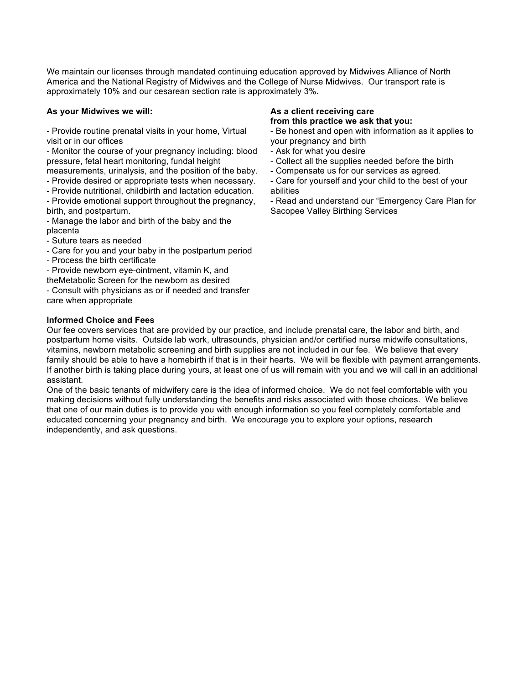We maintain our licenses through mandated continuing education approved by Midwives Alliance of North America and the National Registry of Midwives and the College of Nurse Midwives. Our transport rate is approximately 10% and our cesarean section rate is approximately 3%.

## **As your Midwives we will:**

- Provide routine prenatal visits in your home, Virtual visit or in our offices

- Monitor the course of your pregnancy including: blood pressure, fetal heart monitoring, fundal height

- measurements, urinalysis, and the position of the baby. - Provide desired or appropriate tests when necessary.
- Provide nutritional, childbirth and lactation education.
- Provide emotional support throughout the pregnancy,
- birth, and postpartum.

- Manage the labor and birth of the baby and the placenta

- Suture tears as needed
- Care for you and your baby in the postpartum period
- Process the birth certificate

- Provide newborn eye-ointment, vitamin K, and

theMetabolic Screen for the newborn as desired

- Consult with physicians as or if needed and transfer care when appropriate

# **Informed Choice and Fees**

**As a client receiving care from this practice we ask that you:**

- Be honest and open with information as it applies to your pregnancy and birth
- Ask for what you desire
- Collect all the supplies needed before the birth
- Compensate us for our services as agreed.
- Care for yourself and your child to the best of your abilities
- Read and understand our "Emergency Care Plan for Sacopee Valley Birthing Services

Our fee covers services that are provided by our practice, and include prenatal care, the labor and birth, and postpartum home visits. Outside lab work, ultrasounds, physician and/or certified nurse midwife consultations, vitamins, newborn metabolic screening and birth supplies are not included in our fee. We believe that every family should be able to have a homebirth if that is in their hearts. We will be flexible with payment arrangements. If another birth is taking place during yours, at least one of us will remain with you and we will call in an additional assistant.

One of the basic tenants of midwifery care is the idea of informed choice. We do not feel comfortable with you making decisions without fully understanding the benefits and risks associated with those choices. We believe that one of our main duties is to provide you with enough information so you feel completely comfortable and educated concerning your pregnancy and birth. We encourage you to explore your options, research independently, and ask questions.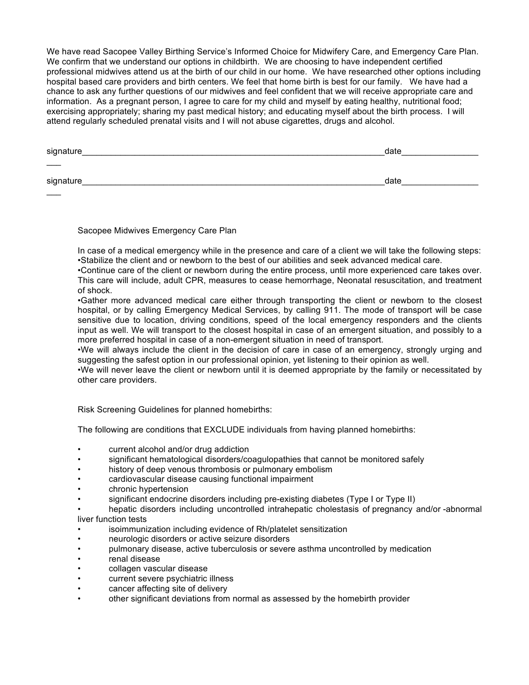We have read Sacopee Valley Birthing Service's Informed Choice for Midwifery Care, and Emergency Care Plan. We confirm that we understand our options in childbirth. We are choosing to have independent certified professional midwives attend us at the birth of our child in our home. We have researched other options including hospital based care providers and birth centers. We feel that home birth is best for our family. We have had a chance to ask any further questions of our midwives and feel confident that we will receive appropriate care and information. As a pregnant person, I agree to care for my child and myself by eating healthy, nutritional food; exercising appropriately; sharing my past medical history; and educating myself about the birth process. I will attend regularly scheduled prenatal visits and I will not abuse cigarettes, drugs and alcohol.

| signature_        | date |
|-------------------|------|
| $\hspace{0.05cm}$ |      |
| signature_        | date |
|                   |      |

Sacopee Midwives Emergency Care Plan

In case of a medical emergency while in the presence and care of a client we will take the following steps: •Stabilize the client and or newborn to the best of our abilities and seek advanced medical care.

•Continue care of the client or newborn during the entire process, until more experienced care takes over. This care will include, adult CPR, measures to cease hemorrhage, Neonatal resuscitation, and treatment of shock.

•Gather more advanced medical care either through transporting the client or newborn to the closest hospital, or by calling Emergency Medical Services, by calling 911. The mode of transport will be case sensitive due to location, driving conditions, speed of the local emergency responders and the clients input as well. We will transport to the closest hospital in case of an emergent situation, and possibly to a more preferred hospital in case of a non-emergent situation in need of transport.

•We will always include the client in the decision of care in case of an emergency, strongly urging and suggesting the safest option in our professional opinion, yet listening to their opinion as well.

•We will never leave the client or newborn until it is deemed appropriate by the family or necessitated by other care providers.

Risk Screening Guidelines for planned homebirths:

The following are conditions that EXCLUDE individuals from having planned homebirths:

- current alcohol and/or drug addiction
- significant hematological disorders/coagulopathies that cannot be monitored safely
- history of deep venous thrombosis or pulmonary embolism
- cardiovascular disease causing functional impairment
- chronic hypertension
- significant endocrine disorders including pre-existing diabetes (Type I or Type II)

• hepatic disorders including uncontrolled intrahepatic cholestasis of pregnancy and/or -abnormal liver function tests

- isoimmunization including evidence of Rh/platelet sensitization
- neurologic disorders or active seizure disorders
- pulmonary disease, active tuberculosis or severe asthma uncontrolled by medication
- renal disease
- collagen vascular disease
- current severe psychiatric illness
- cancer affecting site of delivery
- other significant deviations from normal as assessed by the homebirth provider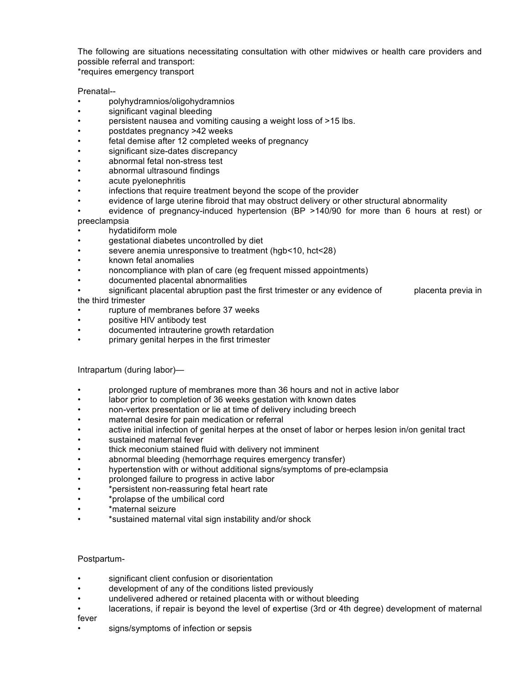The following are situations necessitating consultation with other midwives or health care providers and possible referral and transport:

\*requires emergency transport

# Prenatal--

- polyhydramnios/oligohydramnios
- significant vaginal bleeding
- persistent nausea and vomiting causing a weight loss of >15 lbs.
- postdates pregnancy >42 weeks
- fetal demise after 12 completed weeks of pregnancy
- significant size-dates discrepancy
- abnormal fetal non-stress test
- abnormal ultrasound findings
- acute pyelonephritis
- infections that require treatment beyond the scope of the provider
- evidence of large uterine fibroid that may obstruct delivery or other structural abnormality
- evidence of pregnancy-induced hypertension (BP >140/90 for more than 6 hours at rest) or preeclampsia
- hydatidiform mole
- gestational diabetes uncontrolled by diet
- severe anemia unresponsive to treatment (hgb<10, hct<28)
- known fetal anomalies
- noncompliance with plan of care (eg frequent missed appointments)
- documented placental abnormalities
- significant placental abruption past the first trimester or any evidence of placenta previa in the third trimester
- rupture of membranes before 37 weeks
- positive HIV antibody test
- documented intrauterine growth retardation
- primary genital herpes in the first trimester

## Intrapartum (during labor)—

- prolonged rupture of membranes more than 36 hours and not in active labor
- labor prior to completion of 36 weeks gestation with known dates
- non-vertex presentation or lie at time of delivery including breech
- maternal desire for pain medication or referral
- active initial infection of genital herpes at the onset of labor or herpes lesion in/on genital tract
- sustained maternal fever
- thick meconium stained fluid with delivery not imminent
- abnormal bleeding (hemorrhage requires emergency transfer)
- hypertenstion with or without additional signs/symptoms of pre-eclampsia
- prolonged failure to progress in active labor
- \*persistent non-reassuring fetal heart rate
- \*prolapse of the umbilical cord
- \*maternal seizure
- \*sustained maternal vital sign instability and/or shock

## Postpartum-

- significant client confusion or disorientation
- development of any of the conditions listed previously
- undelivered adhered or retained placenta with or without bleeding
- lacerations, if repair is beyond the level of expertise (3rd or 4th degree) development of maternal

#### fever

signs/symptoms of infection or sepsis